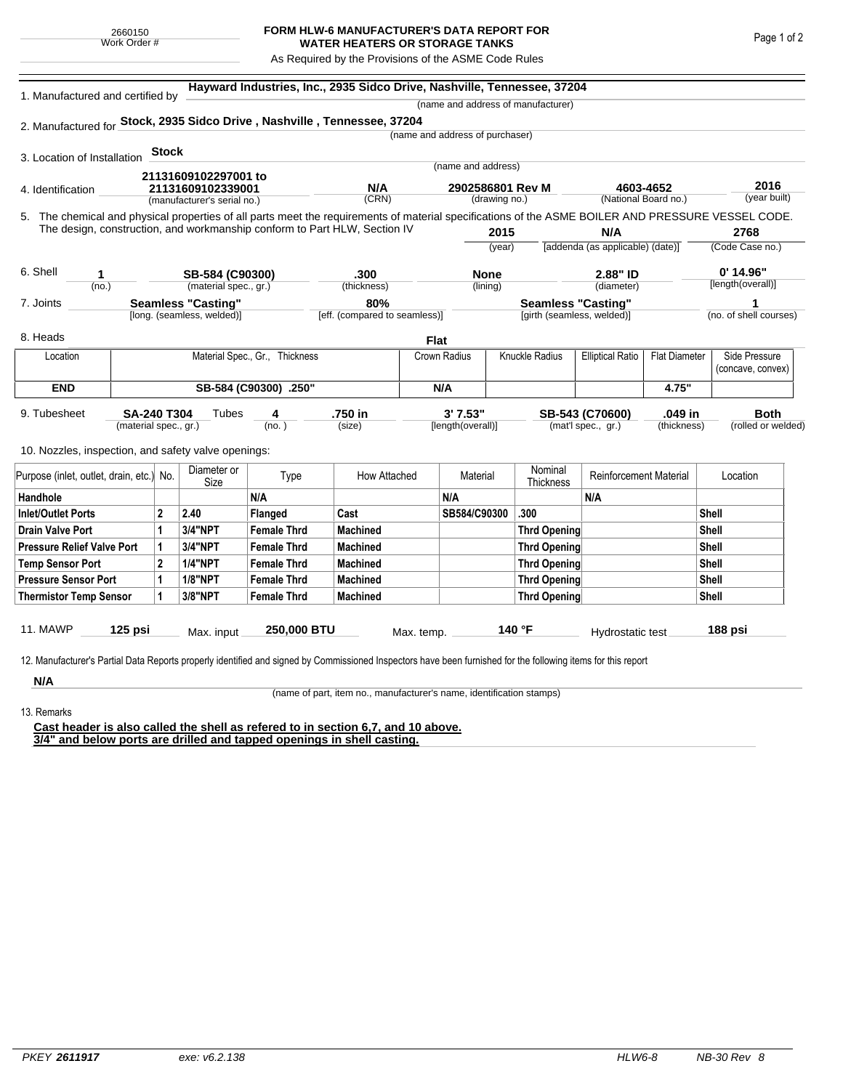## **FORM HLW-6 MANUFACTURER'S DATA REPORT FOR WATER HEATERS OR STORAGE TANKS**

As Required by the Provisions of the ASME Code Rules

| 1. Manufactured and certified by                                          |                       |                   |                                    |                                |                               | Hayward Industries, Inc., 2935 Sidco Drive, Nashville, Tennessee, 37204 |                  |                             |                                  |                      |                                                                                                                                                    |  |  |  |
|---------------------------------------------------------------------------|-----------------------|-------------------|------------------------------------|--------------------------------|-------------------------------|-------------------------------------------------------------------------|------------------|-----------------------------|----------------------------------|----------------------|----------------------------------------------------------------------------------------------------------------------------------------------------|--|--|--|
|                                                                           |                       |                   | (name and address of manufacturer) |                                |                               |                                                                         |                  |                             |                                  |                      |                                                                                                                                                    |  |  |  |
| 2. Manufactured for Stock, 2935 Sidco Drive, Nashville, Tennessee, 37204  |                       |                   |                                    |                                |                               |                                                                         |                  |                             |                                  |                      |                                                                                                                                                    |  |  |  |
|                                                                           |                       |                   |                                    |                                |                               | (name and address of purchaser)                                         |                  |                             |                                  |                      |                                                                                                                                                    |  |  |  |
| 3. Location of Installation                                               |                       | <b>Stock</b>      |                                    |                                |                               |                                                                         |                  |                             |                                  |                      |                                                                                                                                                    |  |  |  |
|                                                                           |                       |                   | 21131609102297001 to               |                                |                               | (name and address)                                                      |                  |                             |                                  |                      |                                                                                                                                                    |  |  |  |
| 4. Identification                                                         |                       | 21131609102339001 |                                    |                                | N/A                           |                                                                         | 2902586801 Rev M |                             | 4603-4652                        | 2016                 |                                                                                                                                                    |  |  |  |
|                                                                           |                       |                   | (manufacturer's serial no.)        |                                | (CRN)                         |                                                                         | (drawing no.)    |                             | (National Board no.)             |                      | (year built)                                                                                                                                       |  |  |  |
|                                                                           |                       |                   |                                    |                                |                               |                                                                         |                  |                             |                                  |                      | 5. The chemical and physical properties of all parts meet the requirements of material specifications of the ASME BOILER AND PRESSURE VESSEL CODE. |  |  |  |
| The design, construction, and workmanship conform to Part HLW, Section IV |                       |                   |                                    |                                |                               |                                                                         | 2015             |                             | N/A                              |                      | 2768                                                                                                                                               |  |  |  |
|                                                                           |                       |                   |                                    |                                |                               |                                                                         | (year)           |                             | [addenda (as applicable) (date)] |                      | (Code Case no.)                                                                                                                                    |  |  |  |
| 6. Shell<br>1                                                             |                       |                   | SB-584 (C90300)                    |                                | .300                          |                                                                         | <b>None</b>      |                             | 2.88" ID                         |                      | $0'$ 14.96"                                                                                                                                        |  |  |  |
| (no.)                                                                     |                       |                   | (material spec., gr.)              |                                | (thickness)                   |                                                                         | (lining)         |                             | (diameter)                       |                      | [length(overall)]                                                                                                                                  |  |  |  |
| 7. Joints                                                                 |                       |                   | <b>Seamless "Casting"</b>          |                                | 80%                           |                                                                         |                  | <b>Seamless "Casting"</b>   |                                  |                      | 1                                                                                                                                                  |  |  |  |
|                                                                           |                       |                   | [long. (seamless, welded)]         |                                | [eff. (compared to seamless)] |                                                                         |                  | [girth (seamless, welded)]  |                                  |                      | (no. of shell courses)                                                                                                                             |  |  |  |
| 8. Heads                                                                  |                       |                   |                                    |                                |                               | <b>Flat</b>                                                             |                  |                             |                                  |                      |                                                                                                                                                    |  |  |  |
| Location                                                                  |                       |                   |                                    | Material Spec., Gr., Thickness |                               | Crown Radius                                                            |                  | Knuckle Radius              | <b>Elliptical Ratio</b>          | <b>Flat Diameter</b> | Side Pressure                                                                                                                                      |  |  |  |
|                                                                           |                       |                   |                                    |                                |                               |                                                                         |                  |                             |                                  |                      | (concave, convex)                                                                                                                                  |  |  |  |
| <b>END</b>                                                                |                       |                   |                                    | SB-584 (C90300) .250"          |                               | N/A                                                                     |                  |                             |                                  | 4.75"                |                                                                                                                                                    |  |  |  |
| 9. Tubesheet                                                              | <b>SA-240 T304</b>    |                   | Tubes                              | 4                              | .750 in                       | 3'7.53"                                                                 |                  |                             | SB-543 (C70600)                  | .049 in              | <b>Both</b>                                                                                                                                        |  |  |  |
|                                                                           | (material spec., gr.) |                   |                                    | (no. )                         | (size)                        | [length(overall)]                                                       |                  |                             | (mat'l spec., gr.)               | (thickness)          | (rolled or welded)                                                                                                                                 |  |  |  |
|                                                                           |                       |                   |                                    |                                |                               |                                                                         |                  |                             |                                  |                      |                                                                                                                                                    |  |  |  |
| 10. Nozzles, inspection, and safety valve openings:                       |                       |                   |                                    |                                |                               |                                                                         |                  |                             |                                  |                      |                                                                                                                                                    |  |  |  |
| Purpose (inlet, outlet, drain, etc.) No.                                  |                       |                   | Diameter or<br>Size                | Type                           | How Attached                  | Material                                                                |                  | Nominal<br><b>Thickness</b> | <b>Reinforcement Material</b>    |                      | Location                                                                                                                                           |  |  |  |
| Handhole                                                                  |                       |                   |                                    | N/A                            |                               | N/A                                                                     |                  |                             | N/A                              |                      |                                                                                                                                                    |  |  |  |
| <b>Inlet/Outlet Ports</b>                                                 |                       | $\mathbf{2}$      | 2.40                               | Flanged                        | Cast                          | SB584/C90300                                                            |                  | .300                        |                                  |                      | <b>Shell</b>                                                                                                                                       |  |  |  |
| <b>Drain Valve Port</b>                                                   |                       | 1                 | <b>3/4"NPT</b>                     | <b>Female Thrd</b>             | <b>Machined</b>               |                                                                         |                  | <b>Thrd Opening</b>         |                                  |                      | <b>Shell</b>                                                                                                                                       |  |  |  |
| <b>Pressure Relief Valve Port</b>                                         |                       | 1                 | 3/4"NPT                            | <b>Female Thrd</b>             | <b>Machined</b>               |                                                                         |                  | <b>Thrd Opening</b>         |                                  |                      | Shell                                                                                                                                              |  |  |  |
| <b>Temp Sensor Port</b>                                                   |                       | $\mathbf{2}$      | <b>1/4"NPT</b>                     | <b>Female Thrd</b>             | <b>Machined</b>               |                                                                         |                  | <b>Thrd Opening</b>         |                                  |                      | <b>Shell</b>                                                                                                                                       |  |  |  |
| <b>Pressure Sensor Port</b>                                               |                       | 1                 | <b>1/8"NPT</b>                     | <b>Female Thrd</b>             | <b>Machined</b>               |                                                                         |                  | <b>Thrd Opening</b>         |                                  |                      | Shell                                                                                                                                              |  |  |  |
| <b>Thermistor Temp Sensor</b>                                             |                       | 1                 | 3/8"NPT                            | <b>Female Thrd</b>             | <b>Machined</b>               |                                                                         |                  | <b>Thrd Opening</b>         |                                  |                      | <b>Shell</b>                                                                                                                                       |  |  |  |
|                                                                           |                       |                   |                                    |                                |                               |                                                                         |                  |                             |                                  |                      |                                                                                                                                                    |  |  |  |
| 11. MAWP                                                                  | 125 psi               |                   |                                    | 250,000 BTU                    |                               |                                                                         |                  | 140 °F                      |                                  |                      | 188 psi                                                                                                                                            |  |  |  |

**N/A** 13. Remarks

(name of part, item no., manufacturer's name, identification stamps)

**Cast header is also called the shell as refered to in section 6,7, and 10 above. 3/4" and below ports are drilled and tapped openings in shell casting.**